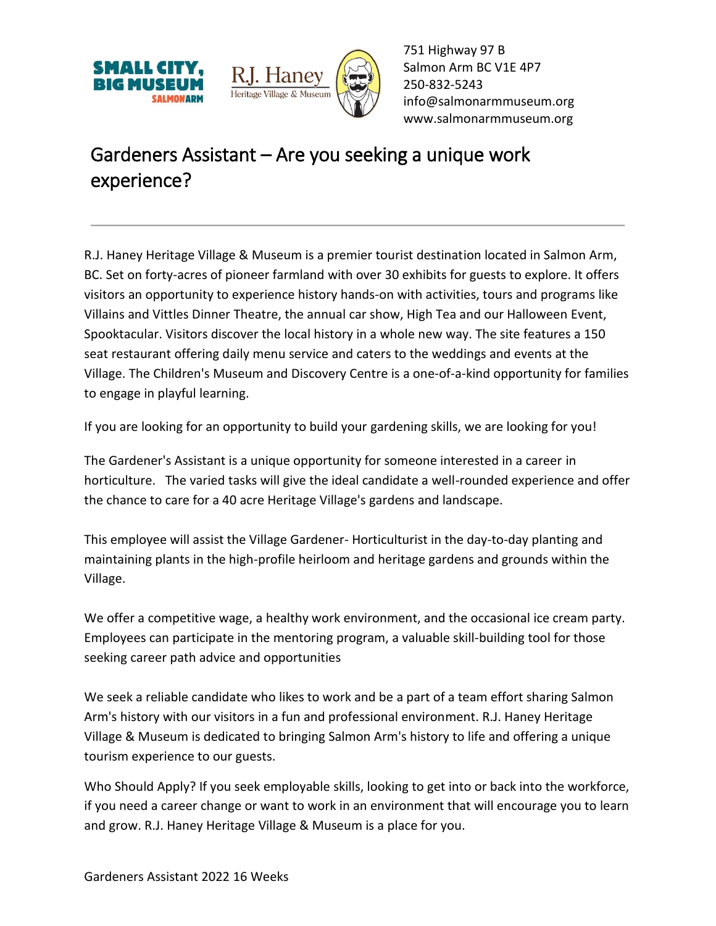



751 Highway 97 B Salmon Arm BC V1E 4P7 250-832-5243 [info@salmonarmmuseum.org](mailto:info@salmonarmmuseum.org) www.salmonarmmuseum.org

## Gardeners Assistant – Are you seeking a unique work experience?

R.J. Haney Heritage Village & Museum is a premier tourist destination located in Salmon Arm, BC. Set on forty-acres of pioneer farmland with over 30 exhibits for guests to explore. It offers visitors an opportunity to experience history hands-on with activities, tours and programs like Villains and Vittles Dinner Theatre, the annual car show, High Tea and our Halloween Event, Spooktacular. Visitors discover the local history in a whole new way. The site features a 150 seat restaurant offering daily menu service and caters to the weddings and events at the Village. The Children's Museum and Discovery Centre is a one-of-a-kind opportunity for families to engage in playful learning.

If you are looking for an opportunity to build your gardening skills, we are looking for you!

The Gardener's Assistant is a unique opportunity for someone interested in a career in horticulture. The varied tasks will give the ideal candidate a well-rounded experience and offer the chance to care for a 40 acre Heritage Village's gardens and landscape.

This employee will assist the Village Gardener- Horticulturist in the day-to-day planting and maintaining plants in the high-profile heirloom and heritage gardens and grounds within the Village.

We offer a competitive wage, a healthy work environment, and the occasional ice cream party. Employees can participate in the mentoring program, a valuable skill-building tool for those seeking career path advice and opportunities

We seek a reliable candidate who likes to work and be a part of a team effort sharing Salmon Arm's history with our visitors in a fun and professional environment. R.J. Haney Heritage Village & Museum is dedicated to bringing Salmon Arm's history to life and offering a unique tourism experience to our guests.

Who Should Apply? If you seek employable skills, looking to get into or back into the workforce, if you need a career change or want to work in an environment that will encourage you to learn and grow. R.J. Haney Heritage Village & Museum is a place for you.